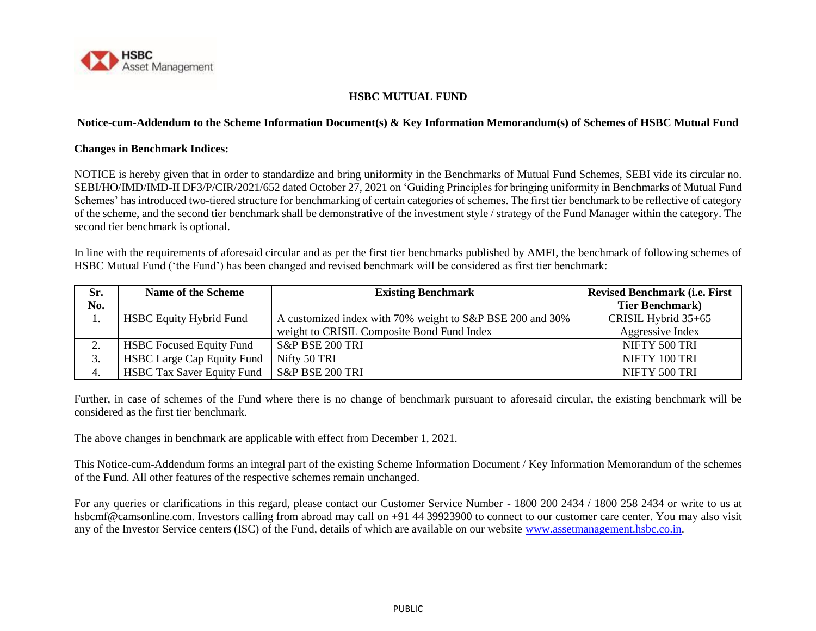

## **HSBC MUTUAL FUND**

## **Notice-cum-Addendum to the Scheme Information Document(s) & Key Information Memorandum(s) of Schemes of HSBC Mutual Fund**

## **Changes in Benchmark Indices:**

NOTICE is hereby given that in order to standardize and bring uniformity in the Benchmarks of Mutual Fund Schemes, SEBI vide its circular no. SEBI/HO/IMD/IMD-II DF3/P/CIR/2021/652 dated October 27, 2021 on 'Guiding Principles for bringing uniformity in Benchmarks of Mutual Fund Schemes' has introduced two-tiered structure for benchmarking of certain categories of schemes. The first tier benchmark to be reflective of category of the scheme, and the second tier benchmark shall be demonstrative of the investment style / strategy of the Fund Manager within the category. The second tier benchmark is optional.

In line with the requirements of aforesaid circular and as per the first tier benchmarks published by AMFI, the benchmark of following schemes of HSBC Mutual Fund ('the Fund') has been changed and revised benchmark will be considered as first tier benchmark:

| Sr.                   | Name of the Scheme                | <b>Existing Benchmark</b>                                 | <b>Revised Benchmark (i.e. First</b> |
|-----------------------|-----------------------------------|-----------------------------------------------------------|--------------------------------------|
| No.                   |                                   |                                                           | <b>Tier Benchmark</b> )              |
| . .                   | <b>HSBC Equity Hybrid Fund</b>    | A customized index with 70% weight to S&P BSE 200 and 30% | CRISIL Hybrid 35+65                  |
|                       |                                   | weight to CRISIL Composite Bond Fund Index                | Aggressive Index                     |
| $\bigcap$<br><u>.</u> | <b>HSBC</b> Focused Equity Fund   | S&P BSE 200 TRI                                           | NIFTY 500 TRI                        |
| 3.                    | <b>HSBC Large Cap Equity Fund</b> | Nifty 50 TRI                                              | NIFTY 100 TRI                        |
| 4.                    | <b>HSBC Tax Saver Equity Fund</b> | S&P BSE 200 TRI                                           | NIFTY 500 TRI                        |

Further, in case of schemes of the Fund where there is no change of benchmark pursuant to aforesaid circular, the existing benchmark will be considered as the first tier benchmark.

The above changes in benchmark are applicable with effect from December 1, 2021.

This Notice-cum-Addendum forms an integral part of the existing Scheme Information Document / Key Information Memorandum of the schemes of the Fund. All other features of the respective schemes remain unchanged.

For any queries or clarifications in this regard, please contact our Customer Service Number - 1800 200 2434 / 1800 258 2434 or write to us at hsbcmf@camsonline.com. Investors calling from abroad may call on +91 44 39923900 to connect to our customer care center. You may also visit any of the Investor Service centers (ISC) of the Fund, details of which are available on our website [www.assetmanagement.hsbc.co.in.](http://www.assetmanagement.hsbc.co.in/)